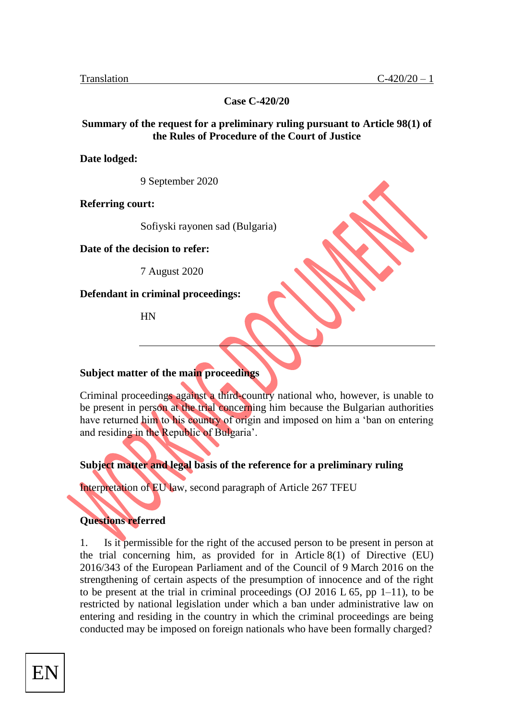**Case C-420/20**

### **Summary of the request for a preliminary ruling pursuant to Article 98(1) of the Rules of Procedure of the Court of Justice**

**Date lodged:**

9 September 2020

**Referring court:**

Sofiyski rayonen sad (Bulgaria)

**Date of the decision to refer:**

7 August 2020

**Defendant in criminal proceedings:**

HN

#### **Subject matter of the main proceedings**

Criminal proceedings against a third-country national who, however, is unable to be present in person at the trial concerning him because the Bulgarian authorities have returned him to his country of origin and imposed on him a 'ban on entering and residing in the Republic of Bulgaria'.

## **Subject matter and legal basis of the reference for a preliminary ruling**

Interpretation of EU law, second paragraph of Article 267 TFEU

## **Questions referred**

1. Is it permissible for the right of the accused person to be present in person at the trial concerning him, as provided for in Article 8(1) of Directive (EU) 2016/343 of the European Parliament and of the Council of 9 March 2016 on the strengthening of certain aspects of the presumption of innocence and of the right to be present at the trial in criminal proceedings (OJ 2016 L  $65$ , pp 1–11), to be restricted by national legislation under which a ban under administrative law on entering and residing in the country in which the criminal proceedings are being conducted may be imposed on foreign nationals who have been formally charged?

EN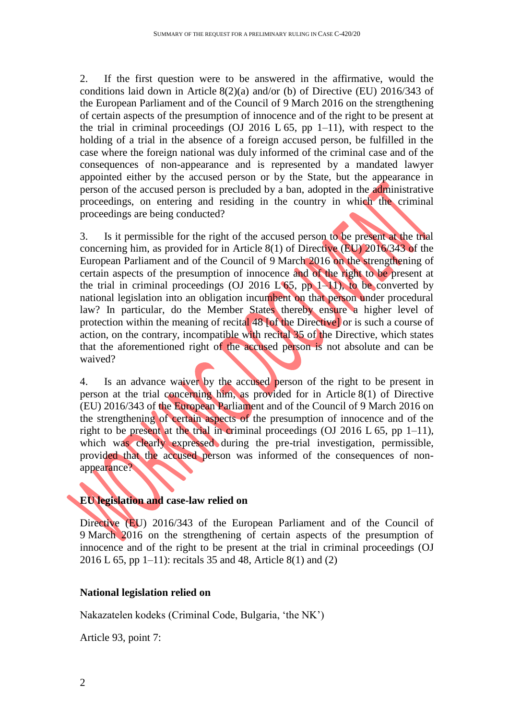2. If the first question were to be answered in the affirmative, would the conditions laid down in Article 8(2)(a) and/or (b) of Directive (EU) 2016/343 of the European Parliament and of the Council of 9 March 2016 on the strengthening of certain aspects of the presumption of innocence and of the right to be present at the trial in criminal proceedings (OJ 2016 L  $65$ , pp 1–11), with respect to the holding of a trial in the absence of a foreign accused person, be fulfilled in the case where the foreign national was duly informed of the criminal case and of the consequences of non-appearance and is represented by a mandated lawyer appointed either by the accused person or by the State, but the appearance in person of the accused person is precluded by a ban, adopted in the administrative proceedings, on entering and residing in the country in which the criminal proceedings are being conducted?

3. Is it permissible for the right of the accused person to be present at the trial concerning him, as provided for in Article 8(1) of Directive (EU) 2016/343 of the European Parliament and of the Council of 9 March 2016 on the strengthening of certain aspects of the presumption of innocence and of the right to be present at the trial in criminal proceedings (OJ 2016 L  $65$ , pp 1–11), to be converted by national legislation into an obligation incumbent on that person under procedural law? In particular, do the Member States thereby ensure a higher level of protection within the meaning of recital 48 [of the Directive] or is such a course of action, on the contrary, incompatible with recital 35 of the Directive, which states that the aforementioned right of the accused person is not absolute and can be waived?

4. Is an advance waiver by the accused person of the right to be present in person at the trial concerning him, as provided for in Article 8(1) of Directive (EU) 2016/343 of the European Parliament and of the Council of 9 March 2016 on the strengthening of certain aspects of the presumption of innocence and of the right to be present at the trial in criminal proceedings (OJ 2016 L 65, pp 1–11), which was clearly expressed during the pre-trial investigation, permissible, provided that the accused person was informed of the consequences of nonappearance?

## **EU legislation and case-law relied on**

Directive (EU) 2016/343 of the European Parliament and of the Council of 9 March 2016 on the strengthening of certain aspects of the presumption of innocence and of the right to be present at the trial in criminal proceedings (OJ 2016 L 65, pp 1–11): recitals 35 and 48, Article 8(1) and (2)

# **National legislation relied on**

Nakazatelen kodeks (Criminal Code, Bulgaria, 'the NK')

Article 93, point 7: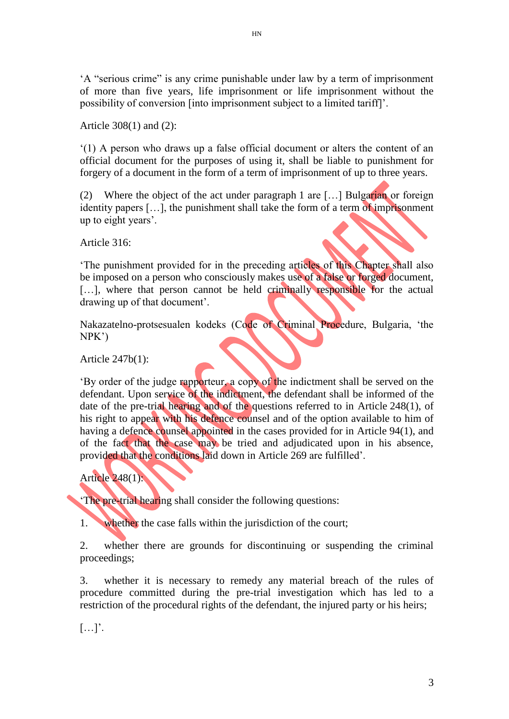'A "serious crime" is any crime punishable under law by a term of imprisonment of more than five years, life imprisonment or life imprisonment without the possibility of conversion [into imprisonment subject to a limited tariff]'.

Article 308(1) and (2):

'(1) A person who draws up a false official document or alters the content of an official document for the purposes of using it, shall be liable to punishment for forgery of a document in the form of a term of imprisonment of up to three years.

(2) Where the object of the act under paragraph 1 are […] Bulgarian or foreign identity papers […], the punishment shall take the form of a term of imprisonment up to eight years'.

Article 316:

'The punishment provided for in the preceding articles of this Chapter shall also be imposed on a person who consciously makes use of a false or forged document, [...], where that person cannot be held criminally responsible for the actual drawing up of that document'.

Nakazatelno-protsesualen kodeks (Code of Criminal Procedure, Bulgaria, 'the NPK')

Article 247b(1):

'By order of the judge rapporteur, a copy of the indictment shall be served on the defendant. Upon service of the indictment, the defendant shall be informed of the date of the pre-trial hearing and of the questions referred to in Article 248(1), of his right to appear with his defence counsel and of the option available to him of having a defence counsel appointed in the cases provided for in Article 94(1), and of the fact that the case may be tried and adjudicated upon in his absence, provided that the conditions laid down in Article 269 are fulfilled'.

# Article 248(1):

'The pre-trial hearing shall consider the following questions:

1. whether the case falls within the jurisdiction of the court;

2. whether there are grounds for discontinuing or suspending the criminal proceedings;

3. whether it is necessary to remedy any material breach of the rules of procedure committed during the pre-trial investigation which has led to a restriction of the procedural rights of the defendant, the injured party or his heirs;

[…]'.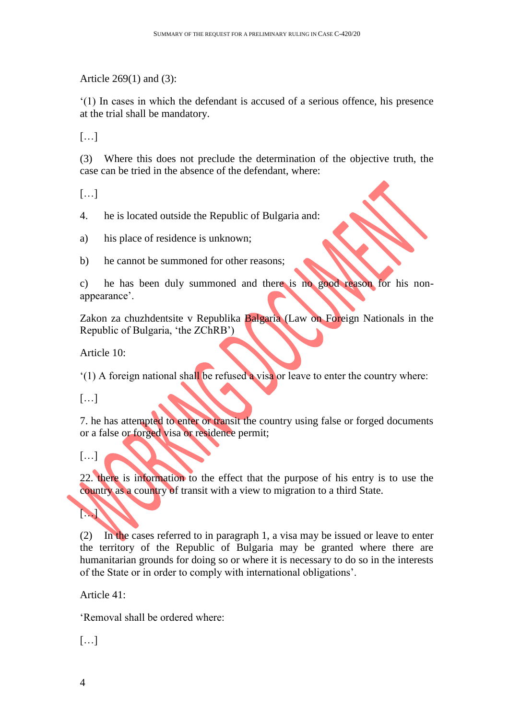Article 269(1) and (3):

'(1) In cases in which the defendant is accused of a serious offence, his presence at the trial shall be mandatory.

[…]

(3) Where this does not preclude the determination of the objective truth, the case can be tried in the absence of the defendant, where:

[…]

4. he is located outside the Republic of Bulgaria and:

a) his place of residence is unknown;

b) he cannot be summoned for other reasons;

c) he has been duly summoned and there is no good reason for his nonappearance'.

Zakon za chuzhdentsite v Republika Balgaria (Law on Foreign Nationals in the Republic of Bulgaria, 'the ZChRB')

Article 10:

'(1) A foreign national shall be refused a visa or leave to enter the country where:

[…]

7. he has attempted to enter or transit the country using false or forged documents or a false or forged visa or residence permit;

 $[...]$ 

 $\blacktriangleright$ 

22. there is information to the effect that the purpose of his entry is to use the country as a country of transit with a view to migration to a third State.

(2) In the cases referred to in paragraph 1, a visa may be issued or leave to enter the territory of the Republic of Bulgaria may be granted where there are humanitarian grounds for doing so or where it is necessary to do so in the interests of the State or in order to comply with international obligations'.

Article 41:

'Removal shall be ordered where:

 $[\ldots]$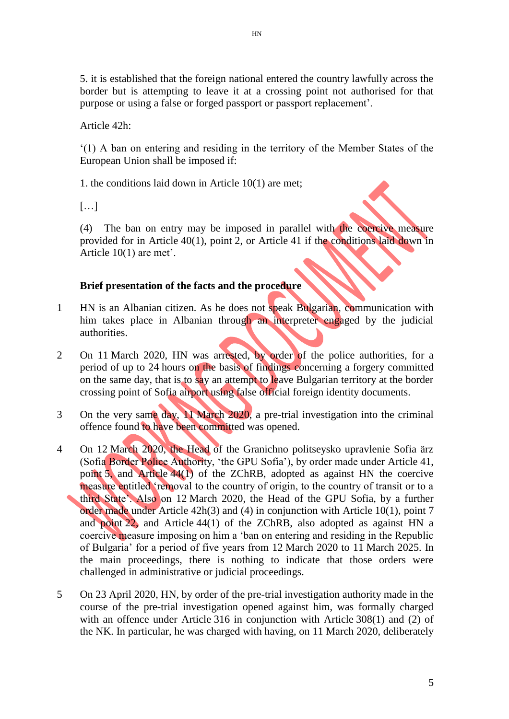5. it is established that the foreign national entered the country lawfully across the border but is attempting to leave it at a crossing point not authorised for that purpose or using a false or forged passport or passport replacement'.

Article 42h:

'(1) A ban on entering and residing in the territory of the Member States of the European Union shall be imposed if:

1. the conditions laid down in Article 10(1) are met;

[…]

(4) The ban on entry may be imposed in parallel with the coercive measure provided for in Article 40(1), point 2, or Article 41 if the conditions laid down in Article 10(1) are met'.

### **Brief presentation of the facts and the procedure**

- 1 HN is an Albanian citizen. As he does not speak Bulgarian, communication with him takes place in Albanian through an interpreter engaged by the judicial authorities.
- 2 On 11 March 2020, HN was arrested, by order of the police authorities, for a period of up to 24 hours on the basis of findings concerning a forgery committed on the same day, that is to say an attempt to leave Bulgarian territory at the border crossing point of Sofia airport using false official foreign identity documents.
- 3 On the very same day, 11 March 2020, a pre-trial investigation into the criminal offence found to have been committed was opened.
- 4 On 12 March 2020, the Head of the Granichno politseysko upravlenie Sofia ärz (Sofia Border Police Authority, 'the GPU Sofia'), by order made under Article 41, point 5, and Article 44(1) of the ZChRB, adopted as against HN the coercive measure entitled 'removal to the country of origin, to the country of transit or to a third State'. Also on 12 March 2020, the Head of the GPU Sofia, by a further order made under Article 42h(3) and (4) in conjunction with Article 10(1), point 7 and point 22, and Article 44(1) of the ZChRB, also adopted as against HN a coercive measure imposing on him a 'ban on entering and residing in the Republic of Bulgaria' for a period of five years from 12 March 2020 to 11 March 2025. In the main proceedings, there is nothing to indicate that those orders were challenged in administrative or judicial proceedings.
- 5 On 23 April 2020, HN, by order of the pre-trial investigation authority made in the course of the pre-trial investigation opened against him, was formally charged with an offence under Article 316 in conjunction with Article 308(1) and (2) of the NK. In particular, he was charged with having, on 11 March 2020, deliberately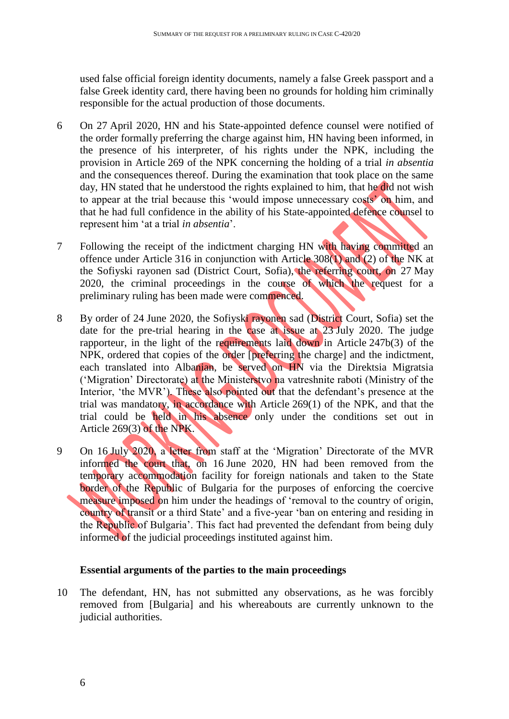used false official foreign identity documents, namely a false Greek passport and a false Greek identity card, there having been no grounds for holding him criminally responsible for the actual production of those documents.

- 6 On 27 April 2020, HN and his State-appointed defence counsel were notified of the order formally preferring the charge against him, HN having been informed, in the presence of his interpreter, of his rights under the NPK, including the provision in Article 269 of the NPK concerning the holding of a trial *in absentia* and the consequences thereof. During the examination that took place on the same day, HN stated that he understood the rights explained to him, that he did not wish to appear at the trial because this 'would impose unnecessary costs' on him, and that he had full confidence in the ability of his State-appointed defence counsel to represent him 'at a trial *in absentia*'.
- 7 Following the receipt of the indictment charging HN with having committed an offence under Article 316 in conjunction with Article 308(1) and (2) of the NK at the Sofiyski rayonen sad (District Court, Sofia), the referring court, on 27 May 2020, the criminal proceedings in the course of which the request for a preliminary ruling has been made were commenced.
- 8 By order of 24 June 2020, the Sofiyski rayonen sad (District Court, Sofia) set the date for the pre-trial hearing in the case at issue at 23 July 2020. The judge rapporteur, in the light of the requirements laid down in Article 247b(3) of the NPK, ordered that copies of the order [preferring the charge] and the indictment, each translated into Albanian, be served on HN via the Direktsia Migratsia ('Migration' Directorate) at the Ministerstvo na vatreshnite raboti (Ministry of the Interior, 'the MVR'). These also pointed out that the defendant's presence at the trial was mandatory, in accordance with Article 269(1) of the NPK, and that the trial could be held in his absence only under the conditions set out in Article 269(3) of the NPK.
- 9 On 16 July 2020, a letter from staff at the 'Migration' Directorate of the MVR informed the court that, on 16 June 2020, HN had been removed from the temporary accommodation facility for foreign nationals and taken to the State border of the Republic of Bulgaria for the purposes of enforcing the coercive measure imposed on him under the headings of 'removal to the country of origin, country of transit or a third State' and a five-year 'ban on entering and residing in the Republic of Bulgaria'. This fact had prevented the defendant from being duly informed of the judicial proceedings instituted against him.

# **Essential arguments of the parties to the main proceedings**

10 The defendant, HN, has not submitted any observations, as he was forcibly removed from [Bulgaria] and his whereabouts are currently unknown to the judicial authorities.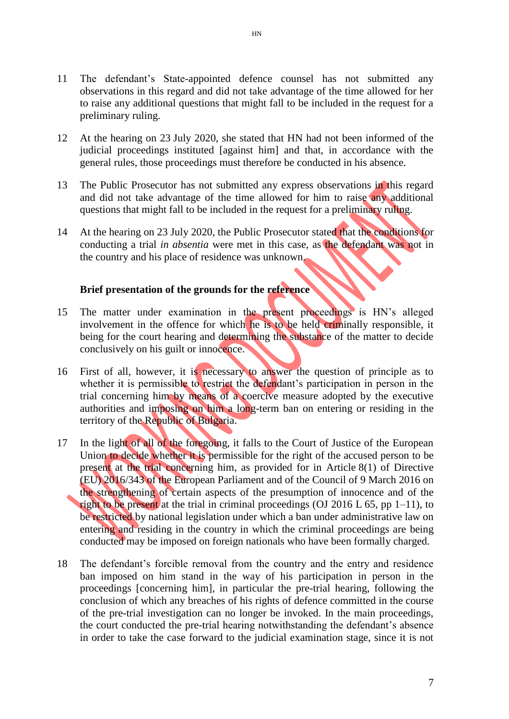- 11 The defendant's State-appointed defence counsel has not submitted any observations in this regard and did not take advantage of the time allowed for her to raise any additional questions that might fall to be included in the request for a preliminary ruling.
- 12 At the hearing on 23 July 2020, she stated that HN had not been informed of the judicial proceedings instituted [against him] and that, in accordance with the general rules, those proceedings must therefore be conducted in his absence.
- 13 The Public Prosecutor has not submitted any express observations in this regard and did not take advantage of the time allowed for him to raise any additional questions that might fall to be included in the request for a preliminary ruling.
- 14 At the hearing on 23 July 2020, the Public Prosecutor stated that the conditions for conducting a trial *in absentia* were met in this case, as the defendant was not in the country and his place of residence was unknown.

#### **Brief presentation of the grounds for the reference**

- 15 The matter under examination in the present proceedings is HN's alleged involvement in the offence for which he is to be held criminally responsible, it being for the court hearing and determining the substance of the matter to decide conclusively on his guilt or innocence.
- 16 First of all, however, it is necessary to answer the question of principle as to whether it is permissible to restrict the defendant's participation in person in the trial concerning him by means of a coercive measure adopted by the executive authorities and imposing on him a long-term ban on entering or residing in the territory of the Republic of Bulgaria.
- 17 In the light of all of the foregoing, it falls to the Court of Justice of the European Union to decide whether it is permissible for the right of the accused person to be present at the trial concerning him, as provided for in Article 8(1) of Directive (EU) 2016/343 of the European Parliament and of the Council of 9 March 2016 on the strengthening of certain aspects of the presumption of innocence and of the right to be present at the trial in criminal proceedings (OJ 2016 L 65, pp  $1-11$ ), to be restricted by national legislation under which a ban under administrative law on entering and residing in the country in which the criminal proceedings are being conducted may be imposed on foreign nationals who have been formally charged.
- 18 The defendant's forcible removal from the country and the entry and residence ban imposed on him stand in the way of his participation in person in the proceedings [concerning him], in particular the pre-trial hearing, following the conclusion of which any breaches of his rights of defence committed in the course of the pre-trial investigation can no longer be invoked. In the main proceedings, the court conducted the pre-trial hearing notwithstanding the defendant's absence in order to take the case forward to the judicial examination stage, since it is not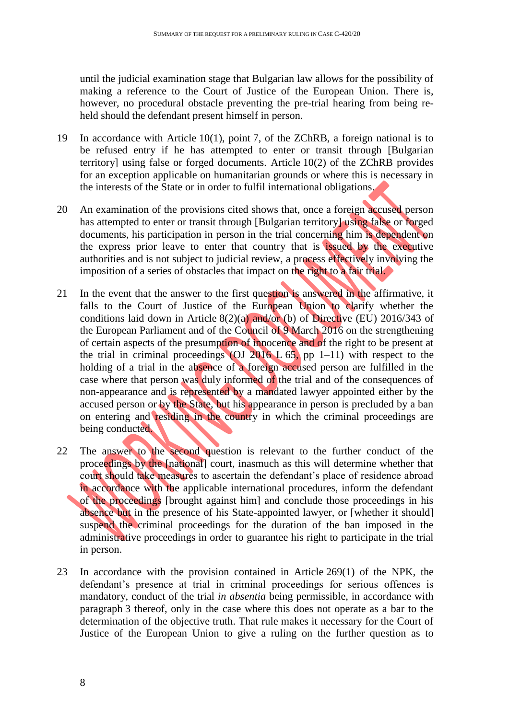until the judicial examination stage that Bulgarian law allows for the possibility of making a reference to the Court of Justice of the European Union. There is, however, no procedural obstacle preventing the pre-trial hearing from being reheld should the defendant present himself in person.

- 19 In accordance with Article 10(1), point 7, of the ZChRB, a foreign national is to be refused entry if he has attempted to enter or transit through [Bulgarian territory] using false or forged documents. Article 10(2) of the ZChRB provides for an exception applicable on humanitarian grounds or where this is necessary in the interests of the State or in order to fulfil international obligations.
- 20 An examination of the provisions cited shows that, once a foreign accused person has attempted to enter or transit through [Bulgarian territory] using false or forged documents, his participation in person in the trial concerning him is dependent on the express prior leave to enter that country that is issued by the executive authorities and is not subject to judicial review, a process effectively involving the imposition of a series of obstacles that impact on the right to a fair trial.
- 21 In the event that the answer to the first question is answered in the affirmative, it falls to the Court of Justice of the European Union to clarify whether the conditions laid down in Article 8(2)(a) and/or (b) of Directive (EU) 2016/343 of the European Parliament and of the Council of 9 March 2016 on the strengthening of certain aspects of the presumption of innocence and of the right to be present at the trial in criminal proceedings (OJ 2016 L  $65$ , pp 1–11) with respect to the holding of a trial in the absence of a foreign accused person are fulfilled in the case where that person was duly informed of the trial and of the consequences of non-appearance and is represented by a mandated lawyer appointed either by the accused person or by the State, but his appearance in person is precluded by a ban on entering and residing in the country in which the criminal proceedings are being conducted.
- 22 The answer to the second question is relevant to the further conduct of the proceedings by the [national] court, inasmuch as this will determine whether that court should take measures to ascertain the defendant's place of residence abroad in accordance with the applicable international procedures, inform the defendant of the proceedings [brought against him] and conclude those proceedings in his absence but in the presence of his State-appointed lawyer, or [whether it should] suspend the criminal proceedings for the duration of the ban imposed in the administrative proceedings in order to guarantee his right to participate in the trial in person.
- 23 In accordance with the provision contained in Article 269(1) of the NPK, the defendant's presence at trial in criminal proceedings for serious offences is mandatory, conduct of the trial *in absentia* being permissible, in accordance with paragraph 3 thereof, only in the case where this does not operate as a bar to the determination of the objective truth. That rule makes it necessary for the Court of Justice of the European Union to give a ruling on the further question as to